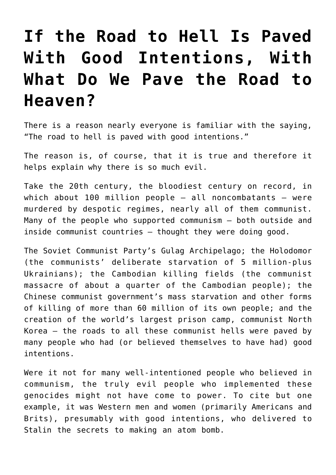## **[If the Road to Hell Is Paved](https://bernardgoldberg.com/if-the-road-to-hell-is-paved-with-good-intentions-with-what-do-we-pave-the-road-to-heaven/) [With Good Intentions, With](https://bernardgoldberg.com/if-the-road-to-hell-is-paved-with-good-intentions-with-what-do-we-pave-the-road-to-heaven/) [What Do We Pave the Road to](https://bernardgoldberg.com/if-the-road-to-hell-is-paved-with-good-intentions-with-what-do-we-pave-the-road-to-heaven/) [Heaven?](https://bernardgoldberg.com/if-the-road-to-hell-is-paved-with-good-intentions-with-what-do-we-pave-the-road-to-heaven/)**

There is a reason nearly everyone is familiar with the saying, "The road to hell is paved with good intentions."

The reason is, of course, that it is true and therefore it helps explain why there is so much evil.

Take the 20th century, the bloodiest century on record, in which about  $100$  million people  $-$  all noncombatants  $-$  were murdered by despotic regimes, nearly all of them communist. Many of the people who supported communism — both outside and inside communist countries — thought they were doing good.

The Soviet Communist Party's Gulag Archipelago; the Holodomor (the communists' deliberate starvation of 5 million-plus Ukrainians); the Cambodian killing fields (the communist massacre of about a quarter of the Cambodian people); the Chinese communist government's mass starvation and other forms of killing of more than 60 million of its own people; and the creation of the world's largest prison camp, communist North Korea — the roads to all these communist hells were paved by many people who had (or believed themselves to have had) good intentions.

Were it not for many well-intentioned people who believed in communism, the truly evil people who implemented these genocides might not have come to power. To cite but one example, it was Western men and women (primarily Americans and Brits), presumably with good intentions, who delivered to Stalin the secrets to making an atom bomb.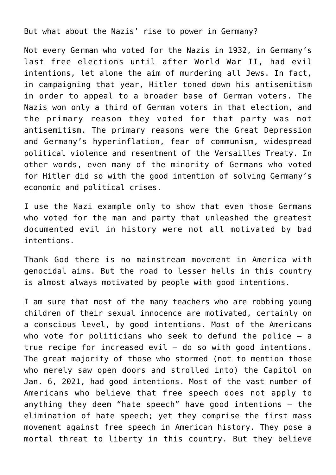But what about the Nazis' rise to power in Germany?

Not every German who voted for the Nazis in 1932, in Germany's last free elections until after World War II, had evil intentions, let alone the aim of murdering all Jews. In fact, in campaigning that year, Hitler toned down his antisemitism in order to appeal to a broader base of German voters. The Nazis won only a third of German voters in that election, and the primary reason they voted for that party was not antisemitism. The primary reasons were the Great Depression and Germany's hyperinflation, fear of communism, widespread political violence and resentment of the Versailles Treaty. In other words, even many of the minority of Germans who voted for Hitler did so with the good intention of solving Germany's economic and political crises.

I use the Nazi example only to show that even those Germans who voted for the man and party that unleashed the greatest documented evil in history were not all motivated by bad intentions.

Thank God there is no mainstream movement in America with genocidal aims. But the road to lesser hells in this country is almost always motivated by people with good intentions.

I am sure that most of the many teachers who are robbing young children of their sexual innocence are motivated, certainly on a conscious level, by good intentions. Most of the Americans who vote for politicians who seek to defund the police  $-$  a true recipe for increased evil — do so with good intentions. The great majority of those who stormed (not to mention those who merely saw open doors and strolled into) the Capitol on Jan. 6, 2021, had good intentions. Most of the vast number of Americans who believe that free speech does not apply to anything they deem "hate speech" have good intentions — the elimination of hate speech; yet they comprise the first mass movement against free speech in American history. They pose a mortal threat to liberty in this country. But they believe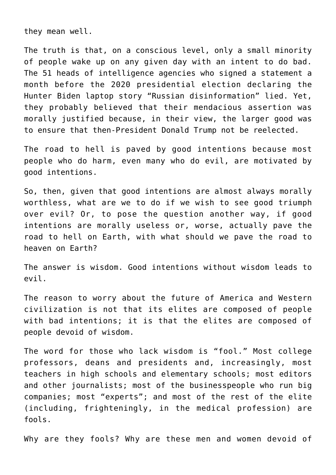they mean well.

The truth is that, on a conscious level, only a small minority of people wake up on any given day with an intent to do bad. The 51 heads of intelligence agencies who signed a statement a month before the 2020 presidential election declaring the Hunter Biden laptop story "Russian disinformation" lied. Yet, they probably believed that their mendacious assertion was morally justified because, in their view, the larger good was to ensure that then-President Donald Trump not be reelected.

The road to hell is paved by good intentions because most people who do harm, even many who do evil, are motivated by good intentions.

So, then, given that good intentions are almost always morally worthless, what are we to do if we wish to see good triumph over evil? Or, to pose the question another way, if good intentions are morally useless or, worse, actually pave the road to hell on Earth, with what should we pave the road to heaven on Earth?

The answer is wisdom. Good intentions without wisdom leads to evil.

The reason to worry about the future of America and Western civilization is not that its elites are composed of people with bad intentions; it is that the elites are composed of people devoid of wisdom.

The word for those who lack wisdom is "fool." Most college professors, deans and presidents and, increasingly, most teachers in high schools and elementary schools; most editors and other journalists; most of the businesspeople who run big companies; most "experts"; and most of the rest of the elite (including, frighteningly, in the medical profession) are fools.

Why are they fools? Why are these men and women devoid of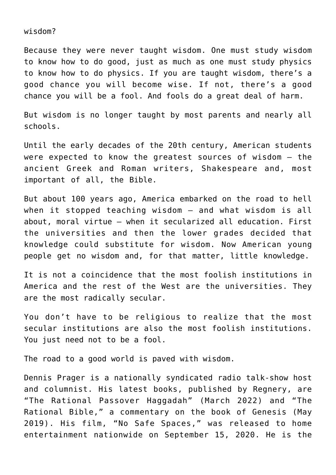wisdom?

Because they were never taught wisdom. One must study wisdom to know how to do good, just as much as one must study physics to know how to do physics. If you are taught wisdom, there's a good chance you will become wise. If not, there's a good chance you will be a fool. And fools do a great deal of harm.

But wisdom is no longer taught by most parents and nearly all schools.

Until the early decades of the 20th century, American students were expected to know the greatest sources of wisdom — the ancient Greek and Roman writers, Shakespeare and, most important of all, the Bible.

But about 100 years ago, America embarked on the road to hell when it stopped teaching wisdom — and what wisdom is all about, moral virtue — when it secularized all education. First the universities and then the lower grades decided that knowledge could substitute for wisdom. Now American young people get no wisdom and, for that matter, little knowledge.

It is not a coincidence that the most foolish institutions in America and the rest of the West are the universities. They are the most radically secular.

You don't have to be religious to realize that the most secular institutions are also the most foolish institutions. You just need not to be a fool.

The road to a good world is paved with wisdom.

Dennis Prager is a nationally syndicated radio talk-show host and columnist. His latest books, published by Regnery, are "The Rational Passover Haggadah" (March 2022) and "The Rational Bible," a commentary on the book of Genesis (May 2019). His film, "No Safe Spaces," was released to home entertainment nationwide on September 15, 2020. He is the